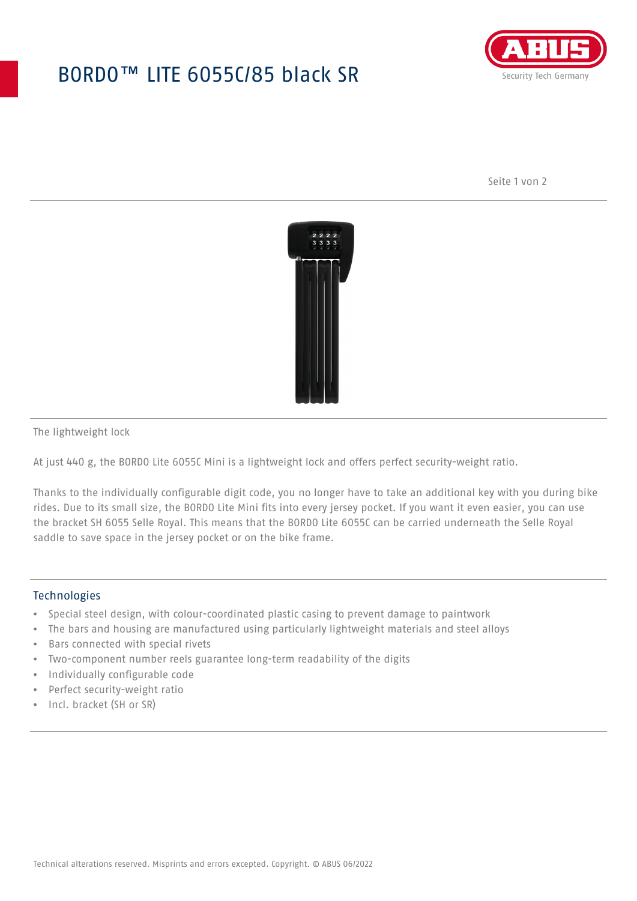## BORDO™ LITE 6055C/85 black SR



Seite 1 von 2



The lightweight lock

At just 440 g, the BORDO Lite 6055C Mini is a lightweight lock and offers perfect security-weight ratio.

Thanks to the individually configurable digit code, you no longer have to take an additional key with you during bike rides. Due to its small size, the BORDO Lite Mini fits into every jersey pocket. If you want it even easier, you can use the bracket SH 6055 Selle Royal. This means that the BORDO Lite 6055C can be carried underneath the Selle Royal saddle to save space in the jersey pocket or on the bike frame.

## **Technologies**

- Special steel design, with colour-coordinated plastic casing to prevent damage to paintwork
- The bars and housing are manufactured using particularly lightweight materials and steel alloys
- Bars connected with special rivets
- Two-component number reels guarantee long-term readability of the digits
- Individually configurable code
- Perfect security-weight ratio
- Incl. bracket (SH or SR)